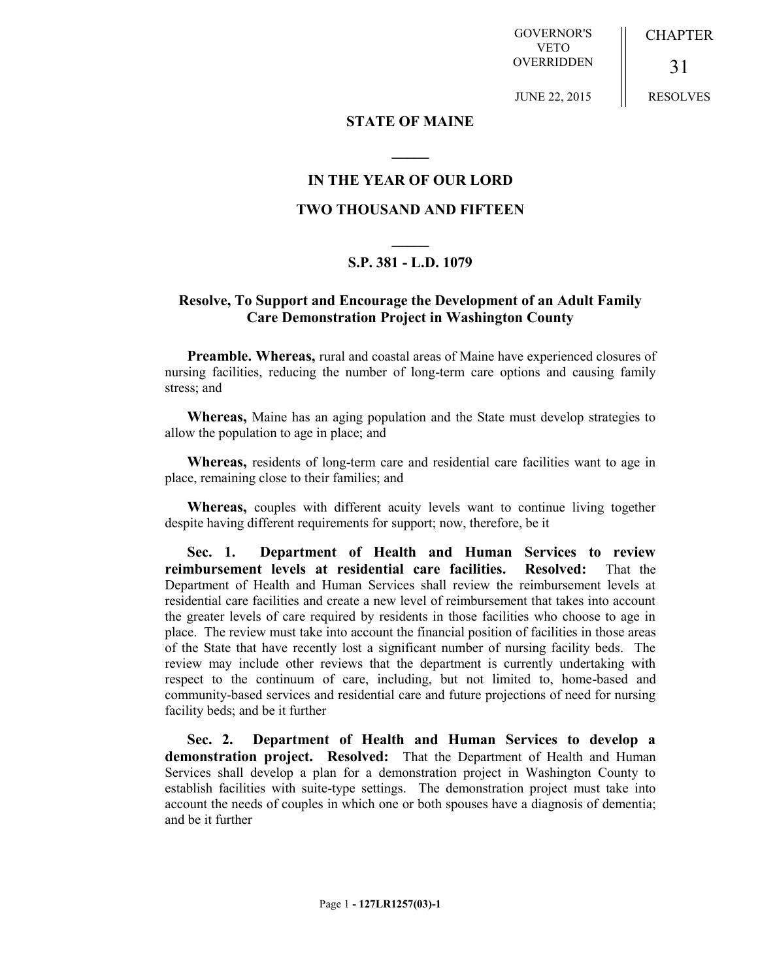GOVERNOR'S VETO OVERRIDDEN

JUNE 22, 2015

**CHAPTER** 

RESOLVES

31

## **STATE OF MAINE**

**\_\_\_\_\_**

## **IN THE YEAR OF OUR LORD TWO THOUSAND AND FIFTEEN**

## **\_\_\_\_\_ S.P. 381 - L.D. 1079**

## **Resolve, To Support and Encourage the Development of an Adult Family Care Demonstration Project in Washington County**

**Preamble. Whereas,** rural and coastal areas of Maine have experienced closures of nursing facilities, reducing the number of long-term care options and causing family stress; and

**Whereas,** Maine has an aging population and the State must develop strategies to allow the population to age in place; and

**Whereas,** residents of long-term care and residential care facilities want to age in place, remaining close to their families; and

**Whereas,** couples with different acuity levels want to continue living together despite having different requirements for support; now, therefore, be it

**Sec. 1. Department of Health and Human Services to review reimbursement levels at residential care facilities. Resolved:** That the Department of Health and Human Services shall review the reimbursement levels at residential care facilities and create a new level of reimbursement that takes into account the greater levels of care required by residents in those facilities who choose to age in place. The review must take into account the financial position of facilities in those areas of the State that have recently lost a significant number of nursing facility beds. The review may include other reviews that the department is currently undertaking with respect to the continuum of care, including, but not limited to, home-based and community-based services and residential care and future projections of need for nursing facility beds; and be it further

**Sec. 2. Department of Health and Human Services to develop a demonstration project. Resolved:** That the Department of Health and Human Services shall develop a plan for a demonstration project in Washington County to establish facilities with suite-type settings. The demonstration project must take into account the needs of couples in which one or both spouses have a diagnosis of dementia; and be it further